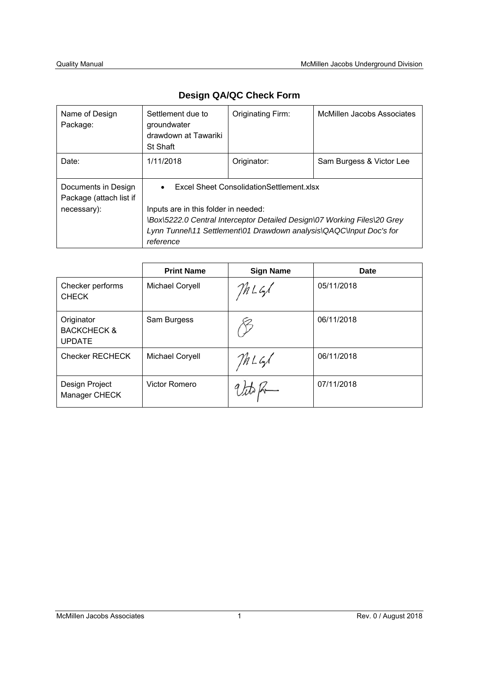| Name of Design<br>Package:                     | Settlement due to<br>groundwater<br>drawdown at Tawariki<br>St Shaft     | Originating Firm:                                                   | McMillen Jacobs Associates |  |  |  |  |  |  |  |
|------------------------------------------------|--------------------------------------------------------------------------|---------------------------------------------------------------------|----------------------------|--|--|--|--|--|--|--|
| Date:                                          | 1/11/2018                                                                | Originator:                                                         | Sam Burgess & Victor Lee   |  |  |  |  |  |  |  |
| Documents in Design<br>Package (attach list if | $\bullet$                                                                | Excel Sheet Consolidation Settlement.xlsx                           |                            |  |  |  |  |  |  |  |
| necessary):                                    | Inputs are in this folder in needed:                                     |                                                                     |                            |  |  |  |  |  |  |  |
|                                                | \Box\5222.0 Central Interceptor Detailed Design\07 Working Files\20 Grey |                                                                     |                            |  |  |  |  |  |  |  |
|                                                |                                                                          | Lynn Tunnel\11 Settlement\01 Drawdown analysis\QAQC\Input Doc's for |                            |  |  |  |  |  |  |  |
|                                                | reference                                                                |                                                                     |                            |  |  |  |  |  |  |  |

# **Design QA/QC Check Form**

|                                                       | <b>Print Name</b> | <b>Sign Name</b> | Date       |
|-------------------------------------------------------|-------------------|------------------|------------|
| Checker performs<br><b>CHECK</b>                      | Michael Coryell   | MLG              | 05/11/2018 |
| Originator<br><b>BACKCHECK &amp;</b><br><b>UPDATE</b> | Sam Burgess       |                  | 06/11/2018 |
| <b>Checker RECHECK</b>                                | Michael Coryell   | MLGS             | 06/11/2018 |
| Design Project<br>Manager CHECK                       | Victor Romero     |                  | 07/11/2018 |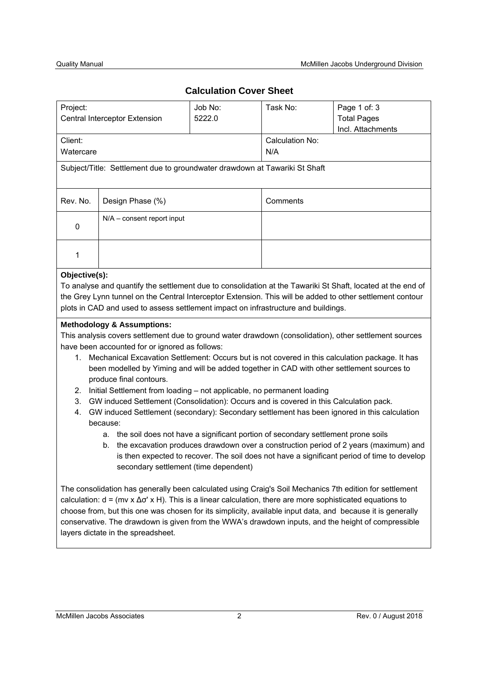# **Calculation Cover Sheet**

| Project:                                                                                                                                                                                                                                                                                                                                                                                                                                                                                                                                                                                                                                                                                                                                                                                                                                                                                                                                                                                                                                                                                                                                                                                                                                                                                                                                                  | Central Interceptor Extension         | Job No:<br>5222.0 | Task No:               | Page 1 of: 3<br><b>Total Pages</b><br>Incl. Attachments |  |  |  |  |  |  |
|-----------------------------------------------------------------------------------------------------------------------------------------------------------------------------------------------------------------------------------------------------------------------------------------------------------------------------------------------------------------------------------------------------------------------------------------------------------------------------------------------------------------------------------------------------------------------------------------------------------------------------------------------------------------------------------------------------------------------------------------------------------------------------------------------------------------------------------------------------------------------------------------------------------------------------------------------------------------------------------------------------------------------------------------------------------------------------------------------------------------------------------------------------------------------------------------------------------------------------------------------------------------------------------------------------------------------------------------------------------|---------------------------------------|-------------------|------------------------|---------------------------------------------------------|--|--|--|--|--|--|
| Client:<br>Watercare                                                                                                                                                                                                                                                                                                                                                                                                                                                                                                                                                                                                                                                                                                                                                                                                                                                                                                                                                                                                                                                                                                                                                                                                                                                                                                                                      |                                       |                   | Calculation No:<br>N/A |                                                         |  |  |  |  |  |  |
| Subject/Title: Settlement due to groundwater drawdown at Tawariki St Shaft                                                                                                                                                                                                                                                                                                                                                                                                                                                                                                                                                                                                                                                                                                                                                                                                                                                                                                                                                                                                                                                                                                                                                                                                                                                                                |                                       |                   |                        |                                                         |  |  |  |  |  |  |
| Rev. No.                                                                                                                                                                                                                                                                                                                                                                                                                                                                                                                                                                                                                                                                                                                                                                                                                                                                                                                                                                                                                                                                                                                                                                                                                                                                                                                                                  | Design Phase (%)                      |                   | Comments               |                                                         |  |  |  |  |  |  |
| 0                                                                                                                                                                                                                                                                                                                                                                                                                                                                                                                                                                                                                                                                                                                                                                                                                                                                                                                                                                                                                                                                                                                                                                                                                                                                                                                                                         | N/A - consent report input            |                   |                        |                                                         |  |  |  |  |  |  |
| 1                                                                                                                                                                                                                                                                                                                                                                                                                                                                                                                                                                                                                                                                                                                                                                                                                                                                                                                                                                                                                                                                                                                                                                                                                                                                                                                                                         |                                       |                   |                        |                                                         |  |  |  |  |  |  |
| Objective(s):<br>To analyse and quantify the settlement due to consolidation at the Tawariki St Shaft, located at the end of<br>the Grey Lynn tunnel on the Central Interceptor Extension. This will be added to other settlement contour<br>plots in CAD and used to assess settlement impact on infrastructure and buildings.<br><b>Methodology &amp; Assumptions:</b><br>This analysis covers settlement due to ground water drawdown (consolidation), other settlement sources<br>have been accounted for or ignored as follows:<br>Mechanical Excavation Settlement: Occurs but is not covered in this calculation package. It has<br>1.<br>been modelled by Yiming and will be added together in CAD with other settlement sources to<br>produce final contours.<br>2.<br>Initial Settlement from loading - not applicable, no permanent loading<br>3.<br>GW induced Settlement (Consolidation): Occurs and is covered in this Calculation pack.<br>GW induced Settlement (secondary): Secondary settlement has been ignored in this calculation<br>4.<br>because:<br>a. the soil does not have a significant portion of secondary settlement prone soils<br>b. the excavation produces drawdown over a construction period of 2 years (maximum) and<br>is then expected to recover. The soil does not have a significant period of time to develop |                                       |                   |                        |                                                         |  |  |  |  |  |  |
|                                                                                                                                                                                                                                                                                                                                                                                                                                                                                                                                                                                                                                                                                                                                                                                                                                                                                                                                                                                                                                                                                                                                                                                                                                                                                                                                                           | secondary settlement (time dependent) |                   |                        |                                                         |  |  |  |  |  |  |

The consolidation has generally been calculated using Craig's Soil Mechanics 7th edition for settlement calculation: d = (mv x ∆σ' x H). This is a linear calculation, there are more sophisticated equations to choose from, but this one was chosen for its simplicity, available input data, and because it is generally conservative. The drawdown is given from the WWA's drawdown inputs, and the height of compressible layers dictate in the spreadsheet.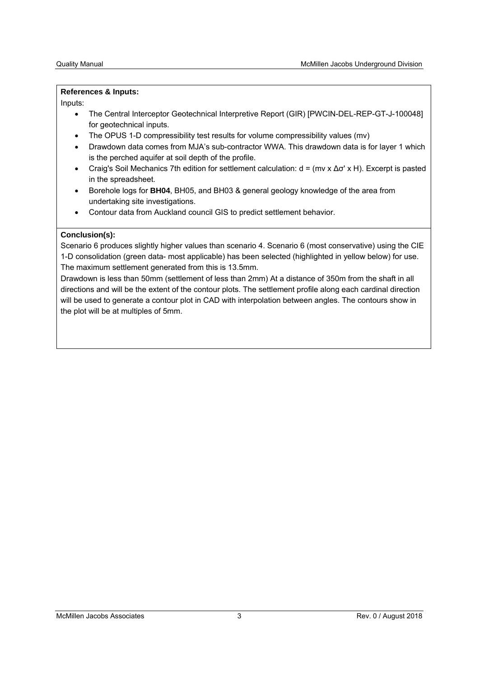#### **References & Inputs:**

Inputs:

- The Central Interceptor Geotechnical Interpretive Report (GIR) [PWCIN-DEL-REP-GT-J-100048] for geotechnical inputs.
- The OPUS 1-D compressibility test results for volume compressibility values (mv)
- Drawdown data comes from MJA's sub-contractor WWA. This drawdown data is for layer 1 which is the perched aquifer at soil depth of the profile.
- Craig's Soil Mechanics 7th edition for settlement calculation: d = (mv x ∆σ' x H). Excerpt is pasted in the spreadsheet.
- Borehole logs for **BH04**, BH05, and BH03 & general geology knowledge of the area from undertaking site investigations.
- Contour data from Auckland council GIS to predict settlement behavior.

### **Conclusion(s):**

Scenario 6 produces slightly higher values than scenario 4. Scenario 6 (most conservative) using the CIE 1-D consolidation (green data- most applicable) has been selected (highlighted in yellow below) for use. The maximum settlement generated from this is 13.5mm.

Drawdown is less than 50mm (settlement of less than 2mm) At a distance of 350m from the shaft in all directions and will be the extent of the contour plots. The settlement profile along each cardinal direction will be used to generate a contour plot in CAD with interpolation between angles. The contours show in the plot will be at multiples of 5mm.